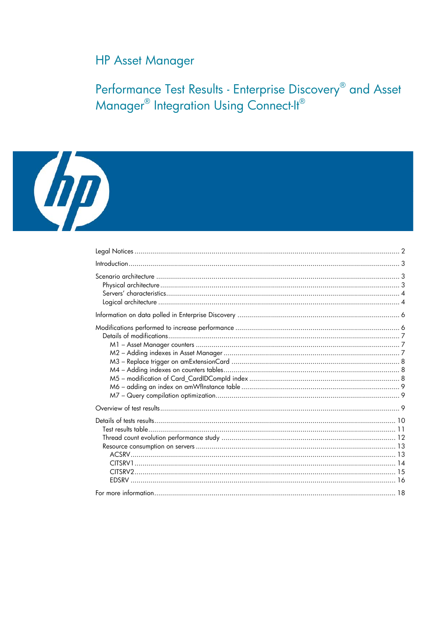# **HP Asset Manager**

Performance Test Results - Enterprise Discovery® and Asset<br>Manager® Integration Using Connect-It®

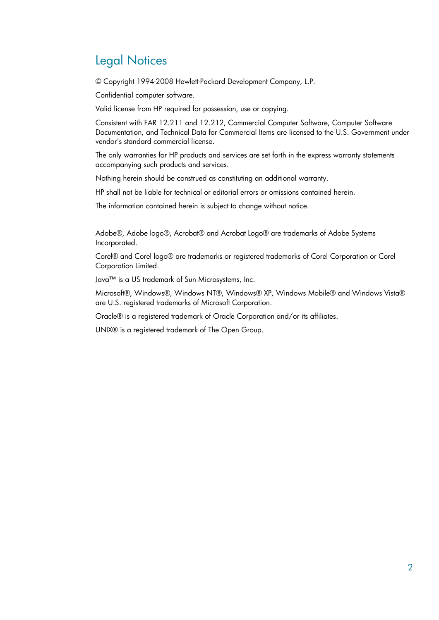# Legal Notices

© Copyright 1994-2008 Hewlett-Packard Development Company, L.P.

Confidential computer software.

Valid license from HP required for possession, use or copying.

Consistent with FAR 12.211 and 12.212, Commercial Computer Software, Computer Software Documentation, and Technical Data for Commercial Items are licensed to the U.S. Government under vendor's standard commercial license.

The only warranties for HP products and services are set forth in the express warranty statements accompanying such products and services.

Nothing herein should be construed as constituting an additional warranty.

HP shall not be liable for technical or editorial errors or omissions contained herein.

The information contained herein is subject to change without notice.

Adobe®, Adobe logo®, Acrobat® and Acrobat Logo® are trademarks of Adobe Systems Incorporated.

Corel® and Corel logo® are trademarks or registered trademarks of Corel Corporation or Corel Corporation Limited.

Java™ is a US trademark of Sun Microsystems, Inc.

Microsoft®, Windows®, Windows NT®, Windows® XP, Windows Mobile® and Windows Vista® are U.S. registered trademarks of Microsoft Corporation.

Oracle® is a registered trademark of Oracle Corporation and/or its affiliates.

UNIX® is a registered trademark of The Open Group.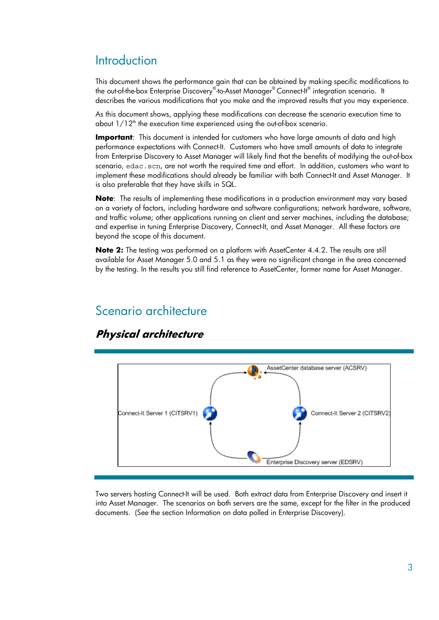# **Introduction**

This document shows the performance gain that can be obtained by making specific modifications to the out-of-the-box Enterprise Discovery®-to-Asset Manager®Connect-It® integration scenario. It describes the various modifications that you make and the improved results that you may experience.

As this document shows, applying these modifications can decrease the scenario execution time to about  $1/12<sup>th</sup>$  the execution time experienced using the out-of-box scenario.

**Important**: This document is intended for customers who have large amounts of data and high performance expectations with Connect-It. Customers who have small amounts of data to integrate from Enterprise Discovery to Asset Manager will likely find that the benefits of modifying the out-of-box scenario, edac.scn, are not worth the required time and effort. In addition, customers who want to implement these modifications should already be familiar with both Connect-It and Asset Manager. It is also preferable that they have skills in SQL.

**Note:** The results of implementing these modifications in a production environment may vary based on a variety of factors, including hardware and software configurations; network hardware, software, and traffic volume; other applications running on client and server machines, including the database; and expertise in tuning Enterprise Discovery, Connect-It, and Asset Manager. All these factors are beyond the scope of this document.

**Note 2:** The testing was performed on a platform with AssetCenter 4.4.2. The results are still available for Asset Manager 5.0 and 5.1 as they were no significant change in the area concerned by the testing. In the results you still find reference to AssetCenter, former name for Asset Manager.

# Scenario architecture



## **Physical architecture**

Two servers hosting Connect-It will be used. Both extract data from Enterprise Discovery and insert it into Asset Manager. The scenarios on both servers are the same, except for the filter in the produced documents. (See the section Information on data polled in Enterprise Discovery).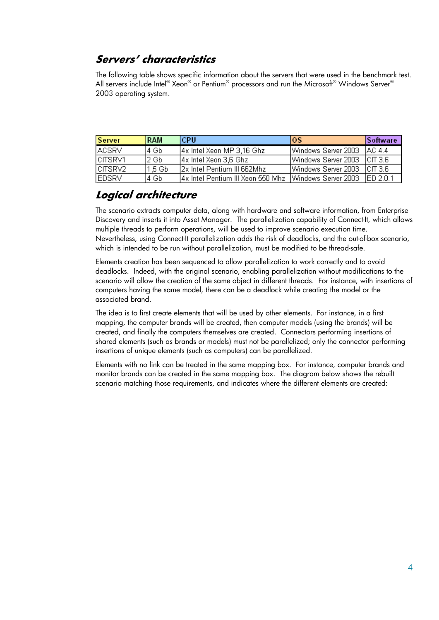## **Servers' characteristics**

The following table shows specific information about the servers that were used in the benchmark test. All servers include Intel® Xeon® or Pentium® processors and run the Microsoft® Windows Server® 2003 operating system.

| <b>Server</b>  | <b>RAM</b> | l CPU.                                                             | los                         | <b>Software</b> |
|----------------|------------|--------------------------------------------------------------------|-----------------------------|-----------------|
| <b>ACSRV</b>   | l4 Gb.     | 4x Intel Xeon MP 3,16 Ghz                                          | Windows Server 2003         | - IAC 44        |
| CITSRV1        | l2 Gb.     | 4x Intel Xeon 3,6 Ghz                                              | Windows Server 2003 CIT 3.6 |                 |
| <b>CITSRV2</b> | 1.5 Gb     | 12x Intel Pentium III 662Mhz                                       | Windows Server 2003 CIT 3.6 |                 |
| <b>EDSRV</b>   | 4 Gb       | 4x Intel Pentium III Xeon 550 Mhz   Windows Server 2003   ED 2.0.1 |                             |                 |

### **Logical architecture**

The scenario extracts computer data, along with hardware and software information, from Enterprise Discovery and inserts it into Asset Manager. The parallelization capability of Connect-It, which allows multiple threads to perform operations, will be used to improve scenario execution time. Nevertheless, using Connect-It parallelization adds the risk of deadlocks, and the out-of-box scenario, which is intended to be run without parallelization, must be modified to be thread-safe.

Elements creation has been sequenced to allow parallelization to work correctly and to avoid deadlocks. Indeed, with the original scenario, enabling parallelization without modifications to the scenario will allow the creation of the same object in different threads. For instance, with insertions of computers having the same model, there can be a deadlock while creating the model or the associated brand.

The idea is to first create elements that will be used by other elements. For instance, in a first mapping, the computer brands will be created, then computer models (using the brands) will be created, and finally the computers themselves are created. Connectors performing insertions of shared elements (such as brands or models) must not be parallelized; only the connector performing insertions of unique elements (such as computers) can be parallelized.

Elements with no link can be treated in the same mapping box. For instance, computer brands and monitor brands can be created in the same mapping box. The diagram below shows the rebuilt scenario matching those requirements, and indicates where the different elements are created: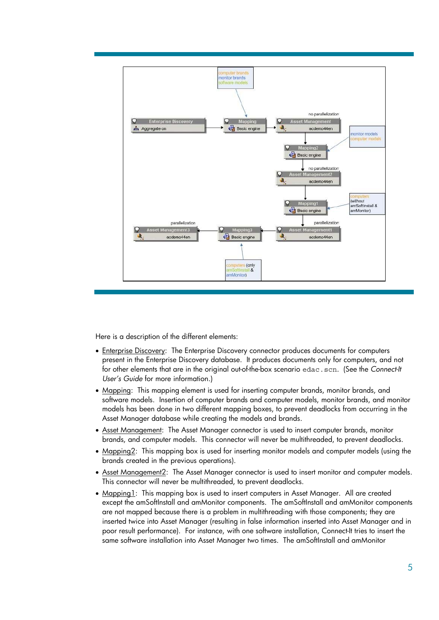

Here is a description of the different elements:

- Enterprise Discovery: The Enterprise Discovery connector produces documents for computers present in the Enterprise Discovery database. It produces documents only for computers, and not for other elements that are in the original out-of-the-box scenario edac.scn. (See the *Connect-It User's Guide* for more information.)
- Mapping: This mapping element is used for inserting computer brands, monitor brands, and software models. Insertion of computer brands and computer models, monitor brands, and monitor models has been done in two different mapping boxes, to prevent deadlocks from occurring in the Asset Manager database while creating the models and brands.
- Asset Management: The Asset Manager connector is used to insert computer brands, monitor brands, and computer models. This connector will never be multithreaded, to prevent deadlocks.
- Mapping2: This mapping box is used for inserting monitor models and computer models (using the brands created in the previous operations).
- Asset Management2: The Asset Manager connector is used to insert monitor and computer models. This connector will never be multithreaded, to prevent deadlocks.
- Mapping1: This mapping box is used to insert computers in Asset Manager. All are created except the amSoftInstall and amMonitor components. The amSoftInstall and amMonitor components are not mapped because there is a problem in multithreading with those components; they are inserted twice into Asset Manager (resulting in false information inserted into Asset Manager and in poor result performance). For instance, with one software installation, Connect-It tries to insert the same software installation into Asset Manager two times. The amSoftInstall and amMonitor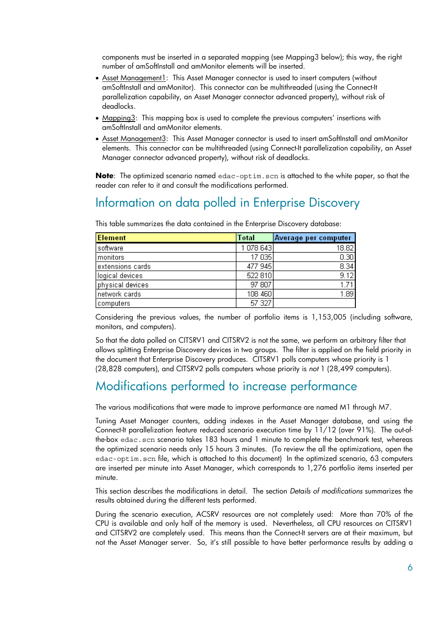components must be inserted in a separated mapping (see Mapping3 below); this way, the right number of amSoftInstall and amMonitor elements will be inserted.

- Asset Management1: This Asset Manager connector is used to insert computers (without amSoftInstall and amMonitor). This connector can be multithreaded (using the Connect-It parallelization capability, an Asset Manager connector advanced property), without risk of deadlocks.
- Mapping3: This mapping box is used to complete the previous computers' insertions with amSoftInstall and amMonitor elements.
- Asset Management3: This Asset Manager connector is used to insert amSoftInstall and amMonitor elements. This connector can be multithreaded (using Connect-It parallelization capability, an Asset Manager connector advanced property), without risk of deadlocks.

**Note**: The optimized scenario named edac-optim.scn is attached to the white paper, so that the reader can refer to it and consult the modifications performed.

# Information on data polled in Enterprise Discovery

| <b>Element</b>   | <b>Total</b> | Average per computer |
|------------------|--------------|----------------------|
| software         | 1 078 643    | 18.82                |
| <b>Imonitors</b> | 17 035       | 0.30                 |
| extensions cards | 477 945      | 8.34                 |
| logical devices  | 522 810      | 9.12                 |
| physical devices | 97 807       | 1.71                 |
| network cards    | 108 460      | 1.89                 |
| computers        | 57 327       |                      |

This table summarizes the data contained in the Enterprise Discovery database:

Considering the previous values, the number of portfolio items is 1,153,005 (including software, monitors, and computers).

So that the data polled on CITSRV1 and CITSRV2 is not the same, we perform an arbitrary filter that allows splitting Enterprise Discovery devices in two groups. The filter is applied on the field priority in the document that Enterprise Discovery produces. CITSRV1 polls computers whose priority is 1 (28,828 computers), and CITSRV2 polls computers whose priority is *not* 1 (28,499 computers).

# Modifications performed to increase performance

The various modifications that were made to improve performance are named M1 through M7.

Tuning Asset Manager counters, adding indexes in the Asset Manager database, and using the Connect-It parallelization feature reduced scenario execution time by 11/12 (over 91%). The out-ofthe-box edac.scn scenario takes 183 hours and 1 minute to complete the benchmark test, whereas the optimized scenario needs only 15 hours 3 minutes. (To review the all the optimizations, open the edac-optim.scn file, which is attached to this document) In the optimized scenario, 63 computers are inserted per minute into Asset Manager, which corresponds to 1,276 portfolio items inserted per minute.

This section describes the modifications in detail. The section *Details of modifications* summarizes the results obtained during the different tests performed.

During the scenario execution, ACSRV resources are not completely used: More than 70% of the CPU is available and only half of the memory is used. Nevertheless, all CPU resources on CITSRV1 and CITSRV2 are completely used. This means than the Connect-It servers are at their maximum, but not the Asset Manager server. So, it's still possible to have better performance results by adding a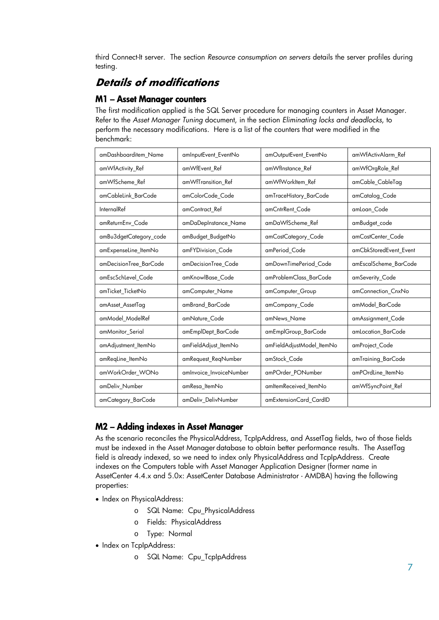third Connect-It server. The section *Resource consumption on servers* details the server profiles during testing.

## **Details of modifications**

#### M1 – Asset Manager counters

The first modification applied is the SQL Server procedure for managing counters in Asset Manager. Refer to the *Asset Manager Tuning* document, in the section *Eliminating locks and deadlocks*, to perform the necessary modifications. Here is a list of the counters that were modified in the benchmark:

| amDashboarditem_Name   | amInputEvent EventNo    | amOutputEvent_EventNo     | amWfActivAlarm_Ref     |
|------------------------|-------------------------|---------------------------|------------------------|
| amWfActivity Ref       | amWfEvent Ref           | amWfInstance_Ref          | amWfOrgRole_Ref        |
| amWfScheme Ref         | amWfTransition Ref      | amWfWorkItem Ref          | amCable CableTag       |
| amCableLink BarCode    | amColorCode Code        | amTraceHistory BarCode    | amCatalog_Code         |
| InternalRef            | amContract Ref          | amCntrRent Code           | amLoan Code            |
| amReturnEnv_Code       | amDaDepInstance_Name    | amDaWfScheme_Ref          | amBudget_code          |
| amBu3dgetCategory_code | amBudget_BudgetNo       | amCostCategory_Code       | amCostCenter Code      |
| amExpenseLine_ItemNo   | amFYDivision Code       | amPeriod_Code             | amCbkStoredEvent_Event |
| amDecisionTree BarCode | amDecisionTree Code     | amDownTimePeriod Code     | amEscalScheme BarCode  |
| amEscSchLevel Code     | amKnowlBase Code        | amProblemClass_BarCode    | amSeverity_Code        |
| amTicket_TicketNo      | amComputer_Name         | amComputer Group          | amConnection CnxNo     |
| amAsset AssetTag       | amBrand BarCode         | amCompany Code            | amModel_BarCode        |
| amModel ModelRef       | amNature_Code           | amNews Name               | amAssignment Code      |
| amMonitor_Serial       | amEmplDept_BarCode      | amEmplGroup_BarCode       | amLocation_BarCode     |
| amAdjustment_ItemNo    | amFieldAdjust_ItemNo    | amFieldAdjustModel_ItemNo | amProject_Code         |
| amReqLine_ItemNo       | amRequest_ReqNumber     | amStock Code              | amTraining_BarCode     |
| amWorkOrder WONo       | amInvoice_InvoiceNumber | amPOrder_PONumber         | amPOrdLine_ItemNo      |
| amDeliv Number         | amResa ItemNo           | amltemReceived ItemNo     | amWfSyncPoint_Ref      |
| amCategory_BarCode     | amDeliv_DelivNumber     | amExtensionCard CardID    |                        |

### M2 – Adding indexes in Asset Manager

As the scenario reconciles the PhysicalAddress, TcpIpAddress, and AssetTag fields, two of those fields must be indexed in the Asset Manager database to obtain better performance results. The AssetTag field is already indexed, so we need to index only PhysicalAddress and TcpIpAddress. Create indexes on the Computers table with Asset Manager Application Designer (former name in AssetCenter 4.4.x and 5.0x: AssetCenter Database Administrator - AMDBA) having the following properties:

- Index on PhysicalAddress:
	- o SQL Name: Cpu\_PhysicalAddress
	- o Fields: PhysicalAddress
	- o Type: Normal
- Index on TcpIpAddress:
	- o SQL Name: Cpu\_TcpIpAddress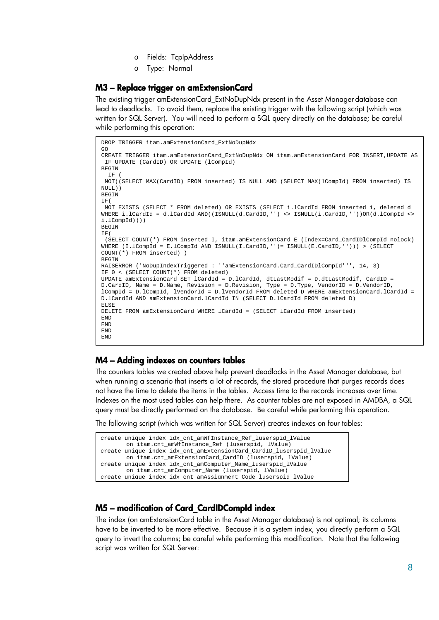- o Fields: TcpIpAddress
- o Type: Normal

#### M3 – Replace trigger on amExtensionCard

The existing trigger amExtensionCard\_ExtNoDupNdx present in the Asset Manager database can lead to deadlocks. To avoid them, replace the existing trigger with the following script (which was written for SQL Server). You will need to perform a SQL query directly on the database; be careful while performing this operation:

```
DROP TRIGGER itam.amExtensionCard_ExtNoDupNdx 
GO 
CREATE TRIGGER itam.amExtensionCard_ExtNoDupNdx ON itam.amExtensionCard FOR INSERT,UPDATE AS 
  IF UPDATE (CardID) OR UPDATE (lCompId) 
BEGIN
  TR NOT((SELECT MAX(CardID) FROM inserted) IS NULL AND (SELECT MAX(lCompId) FROM inserted) IS 
NULL)) 
BEGIN 
IF( 
 NOT EXISTS (SELECT * FROM deleted) OR EXISTS (SELECT i.lCardId FROM inserted i, deleted d 
WHERE i.lCardId = d.lCardId AND((ISNULL(d.CardID,'') <> ISNULL(i.CardID,''))OR(d.lCompId <>
i.lCompId)))) 
BEGIN
IF( 
  (SELECT COUNT(*) FROM inserted I, itam.amExtensionCard E (Index=Card_CardIDlCompId nolock) 
WHERE (I.lCompId = E.lCompId AND ISNULL(I.CardID,'')= ISNULL(E.CardID,''))) > (SELECT 
COUNT(*) FROM inserted) ) 
BEGIN
RAISERROR ('NoDupIndexTriggered : ''amExtensionCard.Card_CardIDlCompId''', 14, 3) 
IF 0 < (SELECT COUNT(*) FROM deleted) 
UPDATE amExtensionCard SET lCardId = D.lCardId, dtLastModif = D.dtLastModif, CardID = 
D.CardID, Name = D.Name, Revision = D.Revision, Type = D.Type, VendorID = D.VendorID, 
lCompId = D.lCompId, lVendorId = D.lVendorId FROM deleted D WHERE amExtensionCard.lCardId = 
D.lCardId AND amExtensionCard.lCardId IN (SELECT D.lCardId FROM deleted D) 
ELSE 
DELETE FROM amExtensionCard WHERE lCardId = (SELECT lCardId FROM inserted) 
END 
END 
END 
END
```
#### M4 – Adding indexes on counters tables

The counters tables we created above help prevent deadlocks in the Asset Manager database, but when running a scenario that inserts a lot of records, the stored procedure that purges records does not have the time to delete the items in the tables. Access time to the records increases over time. Indexes on the most used tables can help there. As counter tables are not exposed in AMDBA, a SQL query must be directly performed on the database. Be careful while performing this operation.

The following script (which was written for SQL Server) creates indexes on four tables:

| create unique index idx cnt amWfInstance Ref luserspid lValue       |
|---------------------------------------------------------------------|
| on itam.cnt_amWfInstance_Ref (luserspid, lValue)                    |
| create unique index idx_cnt_amExtensionCard_CardID_luserspid_lValue |
| on itam.cnt_amExtensionCard_CardID (luserspid, lValue)              |
| create unique index idx_cnt_amComputer_Name_luserspid_lValue        |
| on itam.cnt_amComputer_Name (luserspid, lValue)                     |
| create unique index idx cnt amAssignment Code luserspid lValue      |

#### M5 – modification of Card\_CardIDCompId index

The index (on amExtensionCard table in the Asset Manager database) is not optimal; its columns have to be inverted to be more effective. Because it is a system index, you directly perform a SQL query to invert the columns; be careful while performing this modification. Note that the following script was written for SQL Server: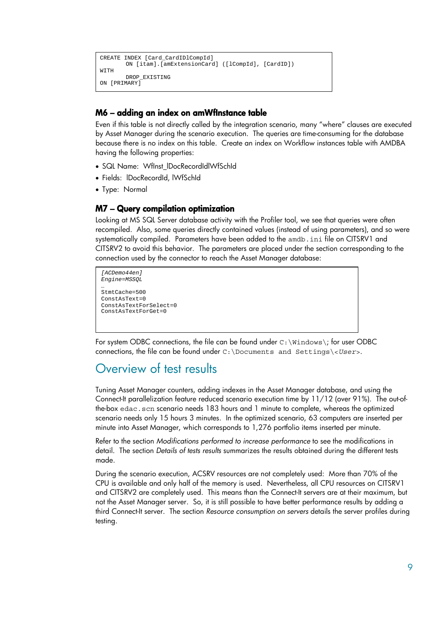```
CREATE INDEX [Card_CardIDlCompId] 
       ON [itam].[amExtensionCard] ([lCompId], [CardID]) 
WITH 
       DROP_EXISTING 
ON [PRIMARY]
```
#### M6 – adding an index on amWfInstance table

Even if this table is not directly called by the integration scenario, many "where" clauses are executed by Asset Manager during the scenario execution. The queries are time-consuming for the database because there is no index on this table. Create an index on Workflow instances table with AMDBA having the following properties:

- SQL Name: Wflnst IDocRecordIdlWfSchId
- Fields: lDocRecordId, lWfSchId
- Type: Normal

#### M7 – Query compilation optimization

Looking at MS SQL Server database activity with the Profiler tool, we see that queries were often recompiled. Also, some queries directly contained values (instead of using parameters), and so were systematically compiled. Parameters have been added to the amdb.ini file on CITSRV1 and CITSRV2 to avoid this behavior. The parameters are placed under the section corresponding to the connection used by the connector to reach the Asset Manager database:

```
[ACDemo44en] 
Engine=MSSQL 
… 
StmtCache=500 
ConstAsText=0 
ConstAsTextForSelect=0 
ConstAsTextForGet=0
```
For system ODBC connections, the file can be found under  $C:\infty$  indows ; for user ODBC connections, the file can be found under C:\Documents and Settings\<*User*>.

## Overview of test results

Tuning Asset Manager counters, adding indexes in the Asset Manager database, and using the Connect-It parallelization feature reduced scenario execution time by 11/12 (over 91%). The out-ofthe-box edac.scn scenario needs 183 hours and 1 minute to complete, whereas the optimized scenario needs only 15 hours 3 minutes. In the optimized scenario, 63 computers are inserted per minute into Asset Manager, which corresponds to 1,276 portfolio items inserted per minute.

Refer to the section *Modifications performed to increase performance* to see the modifications in detail. The section *Details of tests results* summarizes the results obtained during the different tests made.

During the scenario execution, ACSRV resources are not completely used: More than 70% of the CPU is available and only half of the memory is used. Nevertheless, all CPU resources on CITSRV1 and CITSRV2 are completely used. This means than the Connect-It servers are at their maximum, but not the Asset Manager server. So, it is still possible to have better performance results by adding a third Connect-It server. The section *Resource consumption on servers* details the server profiles during testing.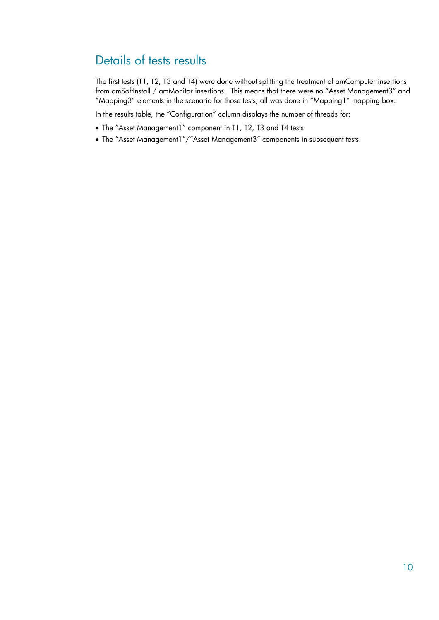# Details of tests results

The first tests (T1, T2, T3 and T4) were done without splitting the treatment of amComputer insertions from amSoftInstall / amMonitor insertions. This means that there were no "Asset Management3" and "Mapping3" elements in the scenario for those tests; all was done in "Mapping1" mapping box.

In the results table, the "Configuration" column displays the number of threads for:

- The "Asset Management1" component in T1, T2, T3 and T4 tests
- The "Asset Management1"/"Asset Management3" components in subsequent tests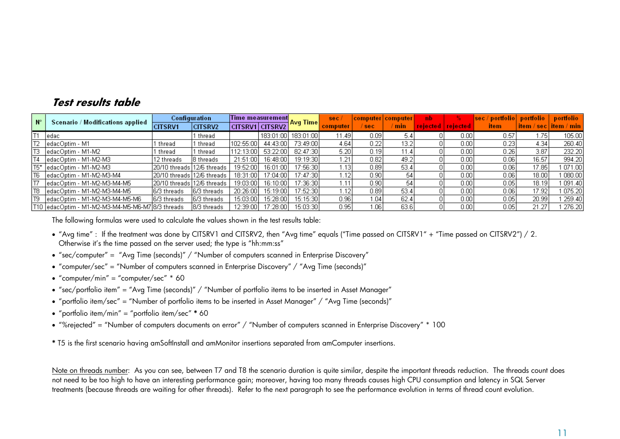### **Test results table**

| $N^{\circ}$      | Scenario / Modifications applied | Configuration               |                | Time measurement |            |           | sec      |      | computer computer | -nb      |                 | sec / portfolio | portfolio | portfolio               |
|------------------|----------------------------------|-----------------------------|----------------|------------------|------------|-----------|----------|------|-------------------|----------|-----------------|-----------------|-----------|-------------------------|
|                  |                                  | <b>CITSRV1</b>              | <b>CITSRV2</b> | CITSRV1 CITSRV2  |            | ∃Avq Time | computer | sec  | min               | rejected | <b>Telected</b> | <b>item</b>     |           | item / sec   item / min |
|                  | ledac                            |                             | thread         |                  | 183:01:00  | 183:01:00 | 1.49'    | 0.09 |                   |          | 0.001           | 0.57            | 75!       | 105.00                  |
|                  | edacOptim - M1                   | thread                      | thread         | 102:55:00        | 44:43:00   | 73:49:00  | 4.64     | 0.22 | 13.2              |          | 0.001           | 0.23            | 4.34      | 260.40                  |
| TЗ               | ledacOptim - M1-M2               | thread                      | l thread       | 112:13:00        | 53:22:001  | 82:47:30  | 5.20     | 0.19 | 44.               |          | 0.001           | 0.26            | 3.87      | 232.20                  |
|                  | edacOptim - M1-M2-M3             | 2 threads                   | 18 threads i   | 21:51:00         | 16:48:00 l | 19:19:30  | 1.21     | 0.82 | 49.1              |          | 0.001           | 0.06            | 16.57     | 994.20                  |
| T <sub>5</sub> * | edacOptim - M1-M2-M3             | 20/10 threads 112/6 threads |                | 19:52:00         | 16:01:001  | 17:56:30  | 1.13     | 0.89 | 53.4              |          | 0.001           | 0.06            | 17.85     | 071.00                  |
| T <sub>6</sub>   | ledacOptim - M1-M2-M3-M4         | 20/10 threads 112/6 threads |                | 18:31:00         | 17:04:00   | 17:47:30  | r. 12    | 0.90 | 54                |          | 0.001           | 0.06            | 18.00     | 080.00                  |
| 17               | ledacOptim - M1-M2-M3-M4-M5      | 20/10 threads 12/6 threads  |                | 19:03:00         | 16:10:00   | 17:36:30  | 1.11     | 0.90 | 54                |          | 0.001           | 0.05            | 18.19     | 091.40                  |
| T <sub>8</sub>   | ledacOptim - M1-M2-M3-M4-M5      | 6/3 threads                 | I6/3 threads   | 20:26:00         | 15:19:00   | 17:52:30  | 1.12     | 0.89 | 53.4              |          | 0.001           | 0.06            | 17.92     | 075.20                  |
| T <sub>9</sub>   | edacOptim - M1-M2-M3-M4-M5-M6    | 6/3 threads                 | I6/3 threads   | 15:03:00         | 15:28:00 l | 15:15:30  | 0.96     | 1.04 | 62.4              |          | 0.001           | 0.05            | 20.99     | 259.40                  |
|                  |                                  |                             | 18/3 threads   | 12:39:00         | 17:28:00]  | 15:03:30  | 0.95     | 1.06 | 63.6              |          | 0.001           | 0.05            | 21.27     | 276.20                  |

The following formulas were used to calculate the values shown in the test results table:

- "Avg time" : If the treatment was done by CITSRV1 and CITSRV2, then "Avg time" equals ("Time passed on CITSRV1" + "Time passed on CITSRV2") / 2. Otherwise it's the time passed on the server used; the type is "hh:mm:ss"
- "sec/computer" = "Avg Time (seconds)" / "Number of computers scanned in Enterprise Discovery"
- "computer/sec" = "Number of computers scanned in Enterprise Discovery" / "Avg Time (seconds)"
- "computer/min" = "computer/sec" \* 60
- "sec/portfolio item" = "Avg Time (seconds)" / "Number of portfolio items to be inserted in Asset Manager"
- "portfolio item/sec" = "Number of portfolio items to be inserted in Asset Manager" / "Avg Time (seconds)"
- "portfolio item/min" = "portfolio item/sec" **\*** 60
- "%rejected" = "Number of computers documents on error" / "Number of computers scanned in Enterprise Discovery" \* 100

**\*** T5 is the first scenario having amSoftInstall and amMonitor insertions separated from amComputer insertions.

Note on threads number: As you can see, between T7 and T8 the scenario duration is quite similar, despite the important threads reduction. The threads count does not need to be too high to have an interesting performance gain; moreover, having too many threads causes high CPU consumption and latency in SQL Server treatments (because threads are waiting for other threads). Refer to the next paragraph to see the performance evolution in terms of thread count evolution.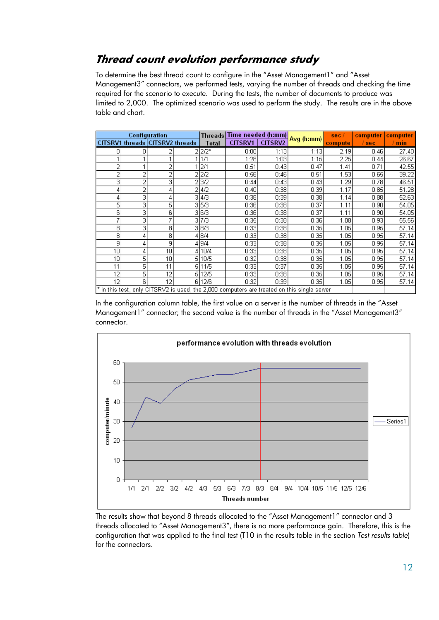## **Thread count evolution performance study**

To determine the best thread count to configure in the "Asset Management1" and "Asset Management3" connectors, we performed tests, varying the number of threads and checking the time required for the scenario to execute. During the tests, the number of documents to produce was limited to 2,000. The optimized scenario was used to perform the study. The results are in the above table and chart.

| Configuration |   |                                 | Threads Time needed (h:mm) |              |                | sec/           | computer                                                                                          | computer |         |       |  |
|---------------|---|---------------------------------|----------------------------|--------------|----------------|----------------|---------------------------------------------------------------------------------------------------|----------|---------|-------|--|
|               |   | CITSRV1 threads CITSRV2 threads |                            | <b>Total</b> | <b>CITSRV1</b> | <b>CITSRV2</b> | Avg (h:mm)                                                                                        | compute  | $/$ sec | / min |  |
|               | Π |                                 |                            | $2 2/2^{*}$  | 0:00           | 1:13           | 1:13                                                                                              | 2.19     | 0.46    | 27.40 |  |
|               |   |                                 |                            | 1/1          | 1:28           | 1:03           | 1:15                                                                                              | 2.25     | 0.44    | 26.67 |  |
|               |   |                                 |                            | 2/1          | 0:51           | 0:43           | 0:47                                                                                              | 1.41     | 0.71    | 42.55 |  |
| 2             | 2 | 2                               |                            | 2/2          | 0:56           | 0:46           | 0:51                                                                                              | 1.53     | 0.65    | 39.22 |  |
| 3             | 2 | 3                               |                            | 3/2          | 0:44           | 0:43           | 0:43                                                                                              | 1.29     | 0.78    | 46.51 |  |
| 4             | 2 | 4                               | 2                          | 4/2          | 0:40           | 0:38           | 0:39                                                                                              | 1.17     | 0.85    | 51.28 |  |
| 4             | 3 |                                 | 3                          | 4/3          | 0:38           | 0:39           | 0:38                                                                                              | 1.14     | 0.88    | 52.63 |  |
| 5             | 3 | 5                               | 3                          | 5/3          | 0:36           | 0:38           | 0:37                                                                                              | 1.11     | 0.90    | 54.05 |  |
| 6             | з | 6                               |                            | 3 6/3        | 0:36           | 0:38           | 0:37                                                                                              | 1.11     | 0.90    | 54.05 |  |
| ⇁             | 3 |                                 | 3                          | 7/3          | 0:35           | 0:38           | 0:36                                                                                              | 1.08     | 0.93    | 55.56 |  |
| 8             | з | 8                               |                            | 3 8/3        | 0:33           | 0:38           | 0:35                                                                                              | 1.05     | 0.95    | 57.14 |  |
| 8             | 4 | 8                               |                            | 4 8/4        | 0:33           | 0:38           | 0:35                                                                                              | 1.05     | 0.95    | 57.14 |  |
| 9             |   | 9                               |                            | 4 9/4        | 0:33           | 0:38           | 0:35                                                                                              | 1.05     | 0.95    | 57.14 |  |
| 10            | 4 | 10                              |                            | 4 10/4       | 0:33           | 0:38           | 0:35                                                                                              | 1.05     | 0.95    | 57.14 |  |
| 10            | 5 | 10                              | 5                          | 10/5         | 0:32           | 0:38           | 0:35                                                                                              | 1.05     | 0.95    | 57.14 |  |
| 11            | 5 | 11                              | 5                          | 11/5         | 0:33           | 0:37           | 0:35                                                                                              | 1.05     | 0.95    | 57.14 |  |
| 12            | 5 | 12                              | 5.                         | 12/5         | 0:33           | 0:38           | 0:35                                                                                              | 1.05     | 0.95    | 57.14 |  |
| 12            | 6 | 12                              |                            | 6 12/6       | 0:32           | 0:39           | 0:35                                                                                              | 1.05     | 0.95    | 57.14 |  |
|               |   |                                 |                            |              |                |                | $\star$ in this test, only CITSRV2 is used, the 2,000 computers are treated on this single server |          |         |       |  |

In the configuration column table, the first value on a server is the number of threads in the "Asset Management1" connector; the second value is the number of threads in the "Asset Management3" connector.



The results show that beyond 8 threads allocated to the "Asset Management1" connector and 3 threads allocated to "Asset Management3", there is no more performance gain. Therefore, this is the configuration that was applied to the final test (T10 in the results table in the section *Test results table*) for the connectors.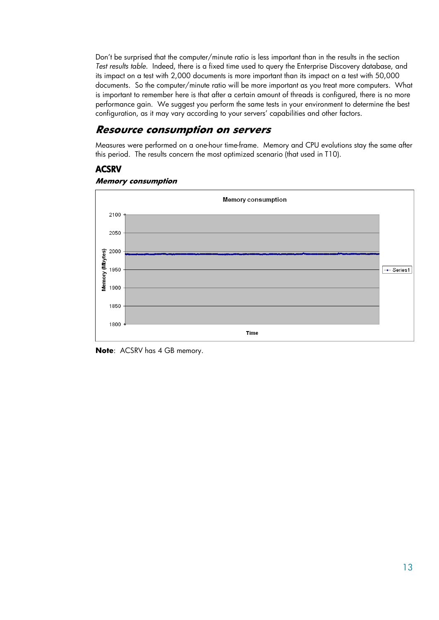Don't be surprised that the computer/minute ratio is less important than in the results in the section *Test results table*. Indeed, there is a fixed time used to query the Enterprise Discovery database, and its impact on a test with 2,000 documents is more important than its impact on a test with 50,000 documents. So the computer/minute ratio will be more important as you treat more computers. What is important to remember here is that after a certain amount of threads is configured, there is no more performance gain. We suggest you perform the same tests in your environment to determine the best configuration, as it may vary according to your servers' capabilities and other factors.

### **Resource consumption on servers**

Measures were performed on a one-hour time-frame. Memory and CPU evolutions stay the same after this period. The results concern the most optimized scenario (that used in T10).

### **ACSRV**





**Note**: ACSRV has 4 GB memory.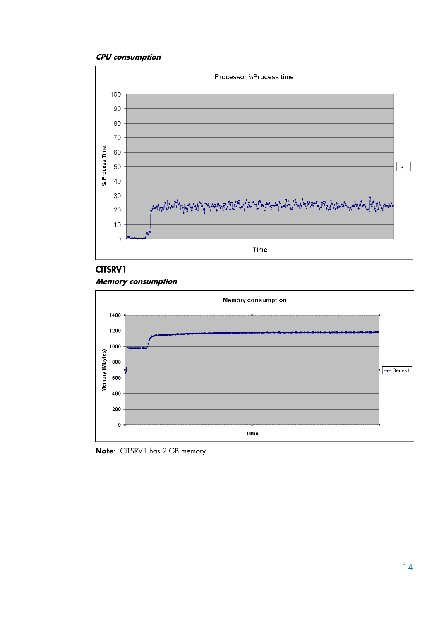

### CITSRV1

#### **Memory consumption**



**Note**: CITSRV1 has 2 GB memory.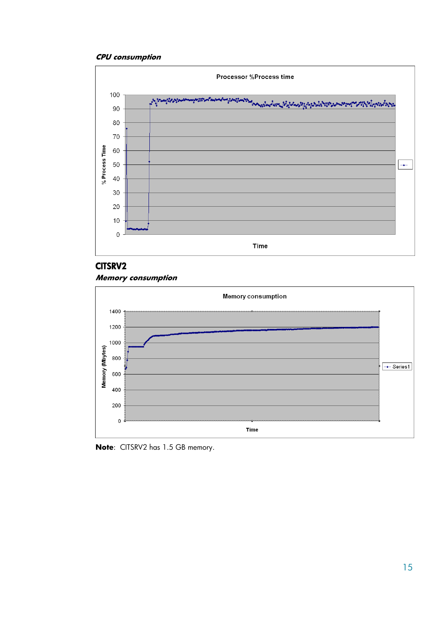

#### CITSRV2





**Note**: CITSRV2 has 1.5 GB memory.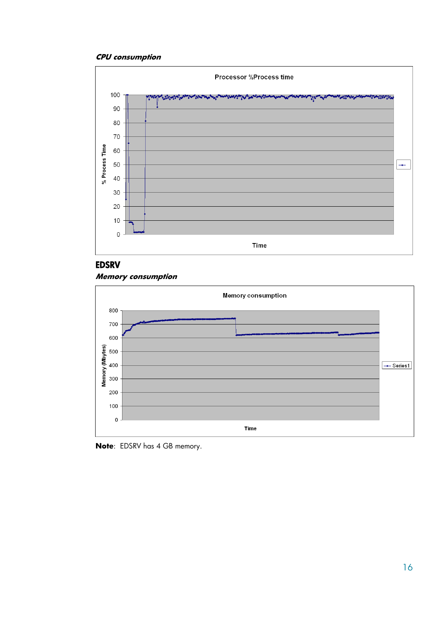

### EDSRV





**Note**: EDSRV has 4 GB memory.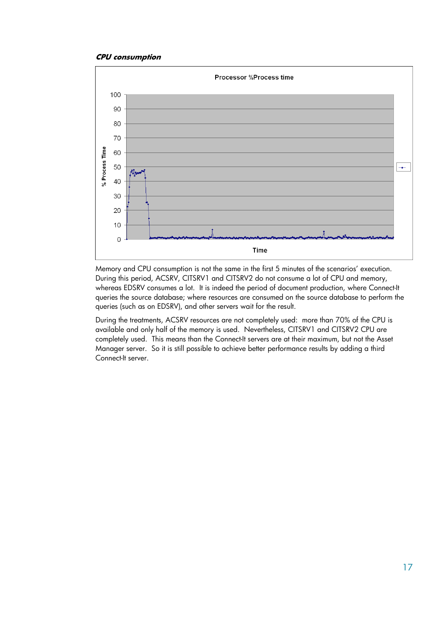

Memory and CPU consumption is not the same in the first 5 minutes of the scenarios' execution. During this period, ACSRV, CITSRV1 and CITSRV2 do not consume a lot of CPU and memory, whereas EDSRV consumes a lot. It is indeed the period of document production, where Connect-It queries the source database; where resources are consumed on the source database to perform the queries (such as on EDSRV), and other servers wait for the result.

During the treatments, ACSRV resources are not completely used: more than 70% of the CPU is available and only half of the memory is used. Nevertheless, CITSRV1 and CITSRV2 CPU are completely used. This means than the Connect-It servers are at their maximum, but not the Asset Manager server. So it is still possible to achieve better performance results by adding a third Connect-It server.